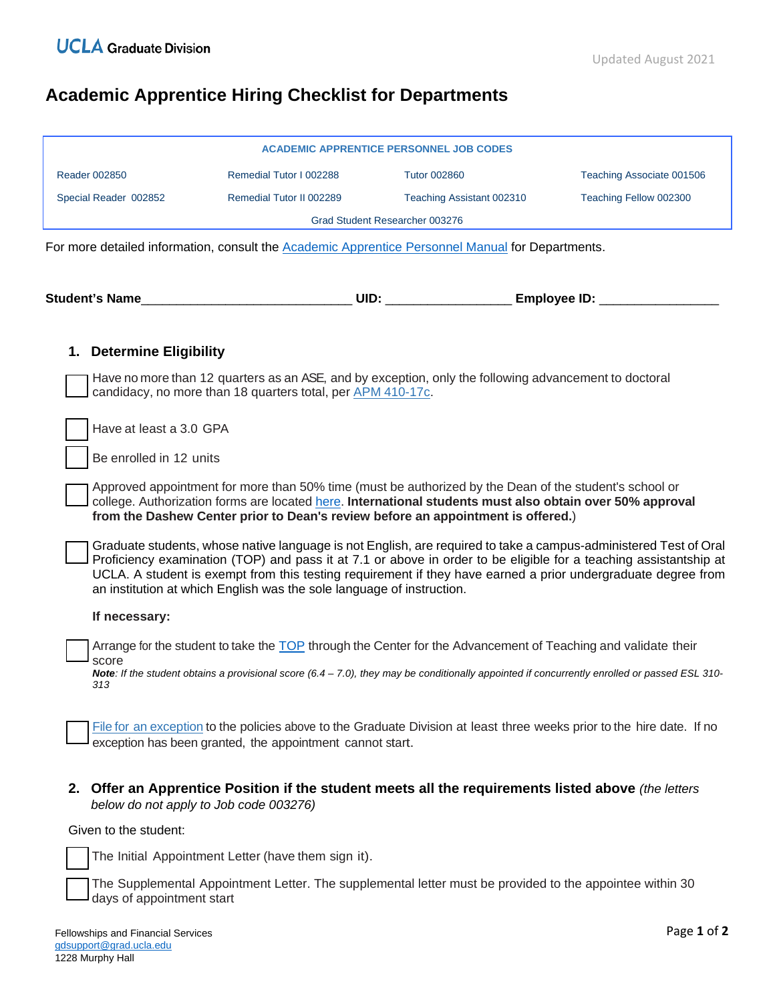## **Academic Apprentice Hiring Checklist for Departments**

|                          |                                                                                                                                                                                                                                    | <b>ACADEMIC APPRENTICE PERSONNEL JOB CODES</b> |                           |
|--------------------------|------------------------------------------------------------------------------------------------------------------------------------------------------------------------------------------------------------------------------------|------------------------------------------------|---------------------------|
| <b>Reader 002850</b>     | Remedial Tutor I 002288                                                                                                                                                                                                            | <b>Tutor 002860</b>                            | Teaching Associate 001506 |
| Special Reader 002852    | Remedial Tutor II 002289                                                                                                                                                                                                           | Teaching Assistant 002310                      | Teaching Fellow 002300    |
|                          |                                                                                                                                                                                                                                    | Grad Student Researcher 003276                 |                           |
|                          | For more detailed information, consult the Academic Apprentice Personnel Manual for Departments.                                                                                                                                   |                                                |                           |
|                          |                                                                                                                                                                                                                                    |                                                |                           |
|                          |                                                                                                                                                                                                                                    |                                                |                           |
|                          |                                                                                                                                                                                                                                    |                                                |                           |
| 1. Determine Eligibility |                                                                                                                                                                                                                                    |                                                |                           |
|                          | Have no more than 12 quarters as an ASE, and by exception, only the following advancement to doctoral                                                                                                                              |                                                |                           |
|                          | candidacy, no more than 18 quarters total, per APM 410-17c.                                                                                                                                                                        |                                                |                           |
| Have at least a 3.0 GPA  |                                                                                                                                                                                                                                    |                                                |                           |
|                          |                                                                                                                                                                                                                                    |                                                |                           |
| Be enrolled in 12 units  |                                                                                                                                                                                                                                    |                                                |                           |
|                          | Approved appointment for more than 50% time (must be authorized by the Dean of the student's school or<br>college. Authorization forms are located here. International students must also obtain over 50% approval                 |                                                |                           |
|                          | from the Dashew Center prior to Dean's review before an appointment is offered.)                                                                                                                                                   |                                                |                           |
|                          | Graduate students, whose native language is not English, are required to take a campus-administered Test of Oral                                                                                                                   |                                                |                           |
|                          | Proficiency examination (TOP) and pass it at 7.1 or above in order to be eligible for a teaching assistantship at<br>UCLA. A student is exempt from this testing requirement if they have earned a prior undergraduate degree from |                                                |                           |
|                          | an institution at which English was the sole language of instruction.                                                                                                                                                              |                                                |                           |
| If necessary:            |                                                                                                                                                                                                                                    |                                                |                           |
|                          | Arrange for the student to take the TOP through the Center for the Advancement of Teaching and validate their                                                                                                                      |                                                |                           |
| score                    | Note: If the student obtains a provisional score (6.4 – 7.0), they may be conditionally appointed if concurrently enrolled or passed ESL 310-                                                                                      |                                                |                           |
| 313                      |                                                                                                                                                                                                                                    |                                                |                           |
|                          |                                                                                                                                                                                                                                    |                                                |                           |
|                          | File for an exception to the policies above to the Graduate Division at least three weeks prior to the hire date. If no                                                                                                            |                                                |                           |
|                          | exception has been granted, the appointment cannot start.                                                                                                                                                                          |                                                |                           |
|                          |                                                                                                                                                                                                                                    |                                                |                           |

**2. Offer an Apprentice Position if the student meets all the requirements listed above** *(the letters below do not apply to Job code 003276)*

Given to the student:

The Initial Appointment Letter (have them sign it).

The Supplemental Appointment Letter. The supplemental letter must be provided to the appointee within 30 days of appointment start